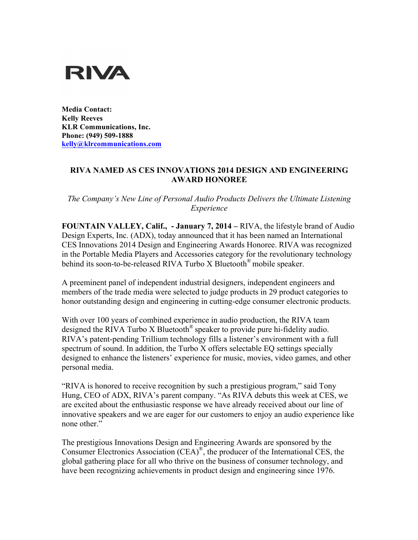

**Media Contact: Kelly Reeves KLR Communications, Inc. Phone: (949) 509-1888 kelly@klrcommunications.com**

## **RIVA NAMED AS CES INNOVATIONS 2014 DESIGN AND ENGINEERING AWARD HONOREE**

*The Company's New Line of Personal Audio Products Delivers the Ultimate Listening Experience*

**FOUNTAIN VALLEY, Calif., - January 7, 2014 –** RIVA, the lifestyle brand of Audio Design Experts, Inc. (ADX), today announced that it has been named an International CES Innovations 2014 Design and Engineering Awards Honoree. RIVA was recognized in the Portable Media Players and Accessories category for the revolutionary technology behind its soon-to-be-released RIVA Turbo X Bluetooth<sup>®</sup> mobile speaker.

A preeminent panel of independent industrial designers, independent engineers and members of the trade media were selected to judge products in 29 product categories to honor outstanding design and engineering in cutting-edge consumer electronic products.

With over 100 years of combined experience in audio production, the RIVA team designed the RIVA Turbo X Bluetooth® speaker to provide pure hi-fidelity audio. RIVA's patent-pending Trillium technology fills a listener's environment with a full spectrum of sound. In addition, the Turbo X offers selectable EQ settings specially designed to enhance the listeners' experience for music, movies, video games, and other personal media.

"RIVA is honored to receive recognition by such a prestigious program," said Tony Hung, CEO of ADX, RIVA's parent company. "As RIVA debuts this week at CES, we are excited about the enthusiastic response we have already received about our line of innovative speakers and we are eager for our customers to enjoy an audio experience like none other."

The prestigious Innovations Design and Engineering Awards are sponsored by the Consumer Electronics Association (CEA)<sup>®</sup>, the producer of the International CES, the global gathering place for all who thrive on the business of consumer technology, and have been recognizing achievements in product design and engineering since 1976.